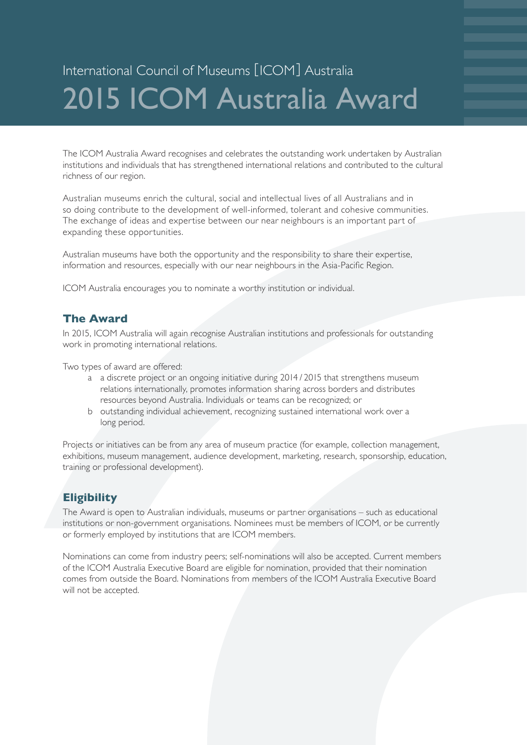# International Council of Museums [ICOM] Australia 2015 ICOM Australia Award

The ICOM Australia Award recognises and celebrates the outstanding work undertaken by Australian institutions and individuals that has strengthened international relations and contributed to the cultural richness of our region.

Australian museums enrich the cultural, social and intellectual lives of all Australians and in so doing contribute to the development of well-informed, tolerant and cohesive communities. The exchange of ideas and expertise between our near neighbours is an important part of expanding these opportunities.

Australian museums have both the opportunity and the responsibility to share their expertise, information and resources, especially with our near neighbours in the Asia-Pacific Region.

ICOM Australia encourages you to nominate a worthy institution or individual.

#### **The Award**

In 2015, ICOM Australia will again recognise Australian institutions and professionals for outstanding work in promoting international relations.

Two types of award are offered:

- a a discrete project or an ongoing initiative during 2014 / 2015 that strengthens museum relations internationally, promotes information sharing across borders and distributes resources beyond Australia. Individuals or teams can be recognized; or
- b outstanding individual achievement, recognizing sustained international work over a long period.

Projects or initiatives can be from any area of museum practice (for example, collection management, exhibitions, museum management, audience development, marketing, research, sponsorship, education, training or professional development).

### **Eligibility**

The Award is open to Australian individuals, museums or partner organisations – such as educational institutions or non-government organisations. Nominees must be members of ICOM, or be currently or formerly employed by institutions that are ICOM members.

Nominations can come from industry peers; self-nominations will also be accepted. Current members of the ICOM Australia Executive Board are eligible for nomination, provided that their nomination comes from outside the Board. Nominations from members of the ICOM Australia Executive Board will not be accepted.